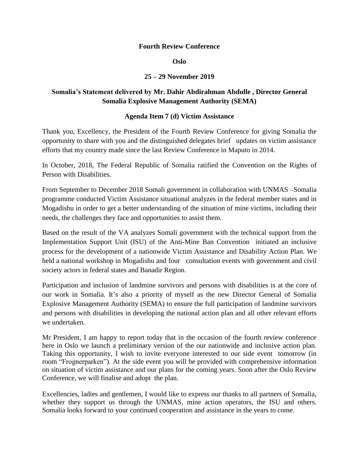## **Fourth Review Conference**

#### **Oslo**

# **25 – 29 November 2019**

# **Somalia's Statement delivered by Mr. Dahir Abdirahman Abdulle , Director General Somalia Explosive Management Authority (SEMA)**

## **Agenda Item 7 (d) Victim Assistance**

Thank you, Excellency, the President of the Fourth Review Conference for giving Somalia the opportunity to share with you and the distinguished delegates brief updates on victim assistance efforts that my country made since the last Review Conference in Maputo in 2014.

In October, 2018, The Federal Republic of Somalia ratified the Convention on the Rights of Person with Disabilities.

From September to December 2018 Somali government in collaboration with UNMAS –Somalia programme conducted Victim Assistance situational analyzes in the federal member states and in Mogadishu in order to get a better understanding of the situation of mine victims, including their needs, the challenges they face and opportunities to assist them.

Based on the result of the VA analyzes Somali government with the technical support from the Implementation Support Unit (ISU) of the Anti-Mine Ban Convention initiated an inclusive process for the development of a nationwide Victim Assistance and Disability Action Plan. We held a national workshop in Mogadishu and four consultation events with government and civil society actors in federal states and Banadir Region.

Participation and inclusion of landmine survivors and persons with disabilities is at the core of our work in Somalia. It's also a priority of myself as the new Director General of Somalia Explosive Management Authority (SEMA) to ensure the full participation of landmine survivors and persons with disabilities in developing the national action plan and all other relevant efforts we undertaken.

Mr President, I am happy to report today that in the occasion of the fourth review conference here in Oslo we launch a preliminary version of the our nationwide and inclusive action plan. Taking this opportunity, I wish to invite everyone interested to our side event tomorrow (in room "Frognerparken"). At the side event you will be provided with comprehensive information on situation of victim assistance and our plans for the coming years. Soon after the Oslo Review Conference, we will finalise and adopt the plan.

Excellencies, ladies and gentlemen, I would like to express our thanks to all partners of Somalia, whether they support us through the UNMAS, mine action operators, the ISU and others. Somalia looks forward to your continued cooperation and assistance in the years to come.